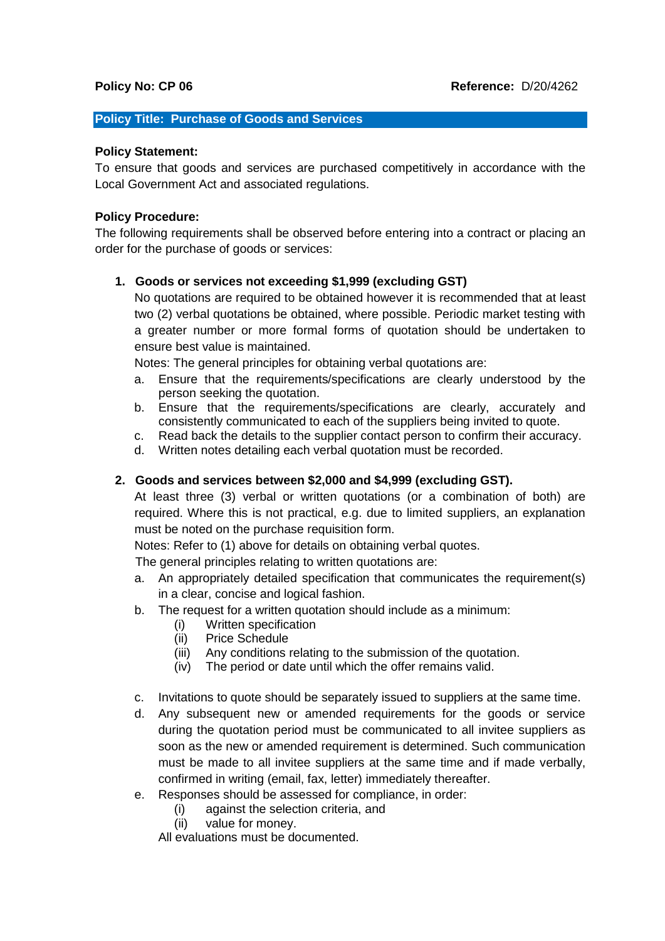#### **Policy Title: Purchase of Goods and Services**

#### **Policy Statement:**

To ensure that goods and services are purchased competitively in accordance with the Local Government Act and associated regulations.

#### **Policy Procedure:**

The following requirements shall be observed before entering into a contract or placing an order for the purchase of goods or services:

#### **1. Goods or services not exceeding \$1,999 (excluding GST)**

No quotations are required to be obtained however it is recommended that at least two (2) verbal quotations be obtained, where possible. Periodic market testing with a greater number or more formal forms of quotation should be undertaken to ensure best value is maintained.

Notes: The general principles for obtaining verbal quotations are:

- a. Ensure that the requirements/specifications are clearly understood by the person seeking the quotation.
- b. Ensure that the requirements/specifications are clearly, accurately and consistently communicated to each of the suppliers being invited to quote.
- c. Read back the details to the supplier contact person to confirm their accuracy.
- d. Written notes detailing each verbal quotation must be recorded.

### **2. Goods and services between \$2,000 and \$4,999 (excluding GST).**

At least three (3) verbal or written quotations (or a combination of both) are required. Where this is not practical, e.g. due to limited suppliers, an explanation must be noted on the purchase requisition form.

Notes: Refer to (1) above for details on obtaining verbal quotes.

The general principles relating to written quotations are:

- a. An appropriately detailed specification that communicates the requirement(s) in a clear, concise and logical fashion.
- b. The request for a written quotation should include as a minimum:
	- (i) Written specification
	- (ii) Price Schedule
	- (iii) Any conditions relating to the submission of the quotation.
	- (iv) The period or date until which the offer remains valid.
- c. Invitations to quote should be separately issued to suppliers at the same time.
- d. Any subsequent new or amended requirements for the goods or service during the quotation period must be communicated to all invitee suppliers as soon as the new or amended requirement is determined. Such communication must be made to all invitee suppliers at the same time and if made verbally, confirmed in writing (email, fax, letter) immediately thereafter.
- e. Responses should be assessed for compliance, in order:
	- (i) against the selection criteria, and
	- (ii) value for money.

All evaluations must be documented.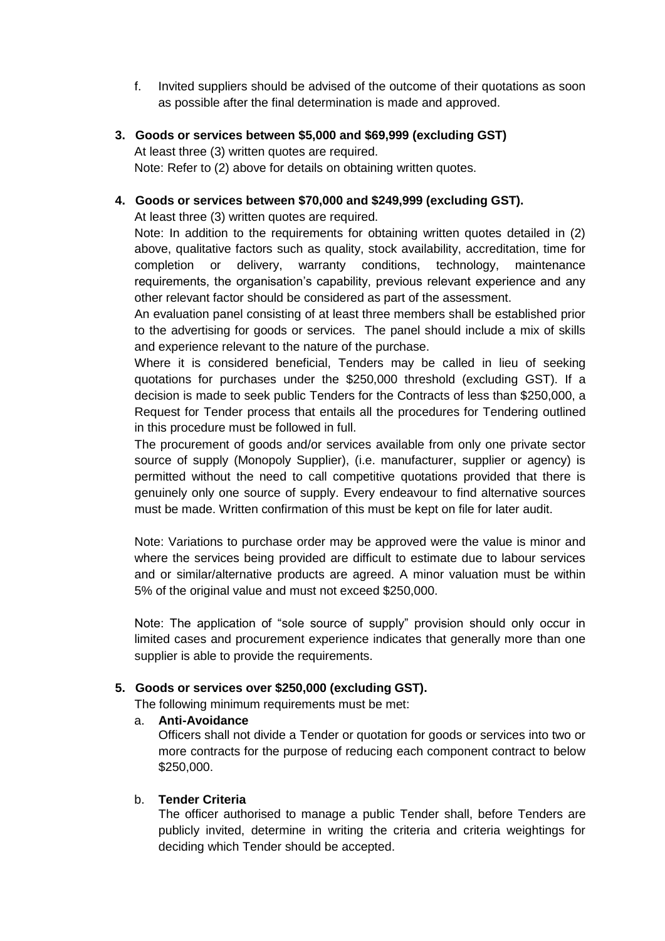- f. Invited suppliers should be advised of the outcome of their quotations as soon as possible after the final determination is made and approved.
- **3. Goods or services between \$5,000 and \$69,999 (excluding GST)**

At least three (3) written quotes are required. Note: Refer to (2) above for details on obtaining written quotes.

**4. Goods or services between \$70,000 and \$249,999 (excluding GST).**

At least three (3) written quotes are required.

Note: In addition to the requirements for obtaining written quotes detailed in (2) above, qualitative factors such as quality, stock availability, accreditation, time for completion or delivery, warranty conditions, technology, maintenance requirements, the organisation's capability, previous relevant experience and any other relevant factor should be considered as part of the assessment.

An evaluation panel consisting of at least three members shall be established prior to the advertising for goods or services. The panel should include a mix of skills and experience relevant to the nature of the purchase.

Where it is considered beneficial, Tenders may be called in lieu of seeking quotations for purchases under the \$250,000 threshold (excluding GST). If a decision is made to seek public Tenders for the Contracts of less than \$250,000, a Request for Tender process that entails all the procedures for Tendering outlined in this procedure must be followed in full.

The procurement of goods and/or services available from only one private sector source of supply (Monopoly Supplier), (i.e. manufacturer, supplier or agency) is permitted without the need to call competitive quotations provided that there is genuinely only one source of supply. Every endeavour to find alternative sources must be made. Written confirmation of this must be kept on file for later audit.

Note: Variations to purchase order may be approved were the value is minor and where the services being provided are difficult to estimate due to labour services and or similar/alternative products are agreed. A minor valuation must be within 5% of the original value and must not exceed \$250,000.

Note: The application of "sole source of supply" provision should only occur in limited cases and procurement experience indicates that generally more than one supplier is able to provide the requirements.

# **5. Goods or services over \$250,000 (excluding GST).**

The following minimum requirements must be met:

a. **Anti-Avoidance**

Officers shall not divide a Tender or quotation for goods or services into two or more contracts for the purpose of reducing each component contract to below \$250,000.

# b. **Tender Criteria**

The officer authorised to manage a public Tender shall, before Tenders are publicly invited, determine in writing the criteria and criteria weightings for deciding which Tender should be accepted.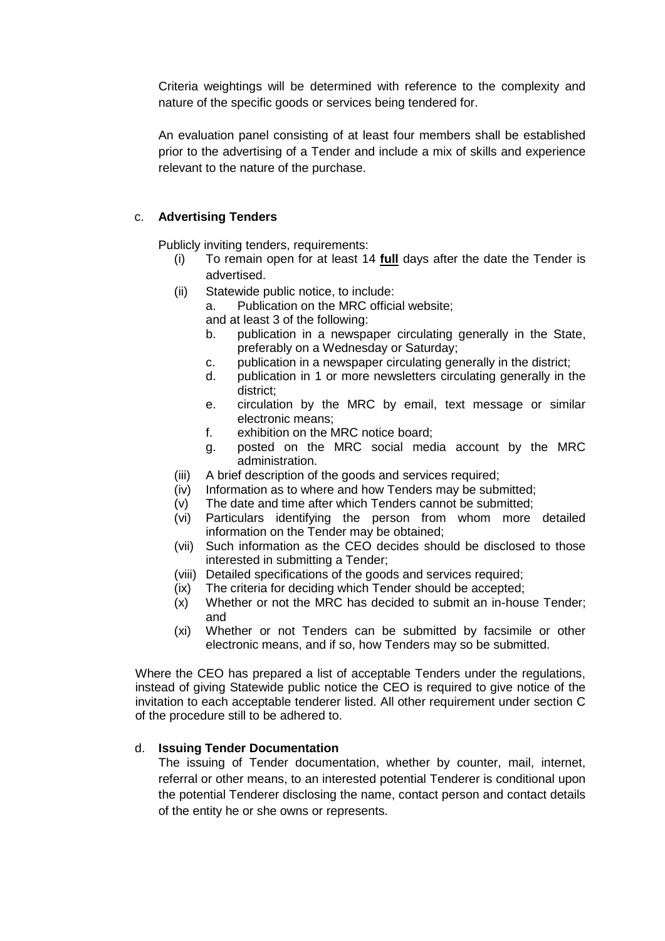Criteria weightings will be determined with reference to the complexity and nature of the specific goods or services being tendered for.

An evaluation panel consisting of at least four members shall be established prior to the advertising of a Tender and include a mix of skills and experience relevant to the nature of the purchase.

## c. **Advertising Tenders**

Publicly inviting tenders, requirements:

- (i) To remain open for at least 14 **full** days after the date the Tender is advertised.
- (ii) Statewide public notice, to include:

a. Publication on the MRC official website;

and at least 3 of the following:

- b. publication in a newspaper circulating generally in the State, preferably on a Wednesday or Saturday;
- c. publication in a newspaper circulating generally in the district;
- d. publication in 1 or more newsletters circulating generally in the district;
- e. circulation by the MRC by email, text message or similar electronic means;
- f. exhibition on the MRC notice board;
- g. posted on the MRC social media account by the MRC administration.
- (iii) A brief description of the goods and services required;
- (iv) Information as to where and how Tenders may be submitted;
- (v) The date and time after which Tenders cannot be submitted;
- (vi) Particulars identifying the person from whom more detailed information on the Tender may be obtained;
- (vii) Such information as the CEO decides should be disclosed to those interested in submitting a Tender;
- (viii) Detailed specifications of the goods and services required;
- (ix) The criteria for deciding which Tender should be accepted;
- (x) Whether or not the MRC has decided to submit an in-house Tender; and
- (xi) Whether or not Tenders can be submitted by facsimile or other electronic means, and if so, how Tenders may so be submitted.

Where the CEO has prepared a list of acceptable Tenders under the regulations, instead of giving Statewide public notice the CEO is required to give notice of the invitation to each acceptable tenderer listed. All other requirement under section C of the procedure still to be adhered to.

# d. **Issuing Tender Documentation**

The issuing of Tender documentation, whether by counter, mail, internet, referral or other means, to an interested potential Tenderer is conditional upon the potential Tenderer disclosing the name, contact person and contact details of the entity he or she owns or represents.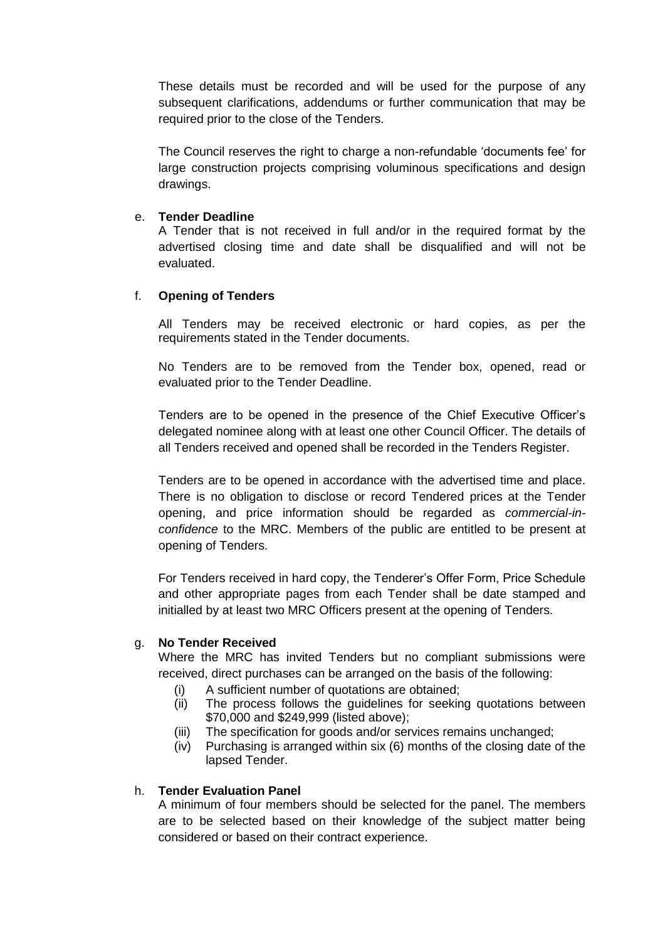These details must be recorded and will be used for the purpose of any subsequent clarifications, addendums or further communication that may be required prior to the close of the Tenders.

The Council reserves the right to charge a non-refundable 'documents fee' for large construction projects comprising voluminous specifications and design drawings.

### e. **Tender Deadline**

A Tender that is not received in full and/or in the required format by the advertised closing time and date shall be disqualified and will not be evaluated.

## f. **Opening of Tenders**

All Tenders may be received electronic or hard copies, as per the requirements stated in the Tender documents.

No Tenders are to be removed from the Tender box, opened, read or evaluated prior to the Tender Deadline.

Tenders are to be opened in the presence of the Chief Executive Officer's delegated nominee along with at least one other Council Officer. The details of all Tenders received and opened shall be recorded in the Tenders Register.

Tenders are to be opened in accordance with the advertised time and place. There is no obligation to disclose or record Tendered prices at the Tender opening, and price information should be regarded as *commercial-inconfidence* to the MRC. Members of the public are entitled to be present at opening of Tenders.

For Tenders received in hard copy, the Tenderer's Offer Form, Price Schedule and other appropriate pages from each Tender shall be date stamped and initialled by at least two MRC Officers present at the opening of Tenders.

# g. **No Tender Received**

Where the MRC has invited Tenders but no compliant submissions were received, direct purchases can be arranged on the basis of the following:

- (i) A sufficient number of quotations are obtained;
- (ii) The process follows the guidelines for seeking quotations between \$70,000 and \$249,999 (listed above);
- (iii) The specification for goods and/or services remains unchanged;
- (iv) Purchasing is arranged within six (6) months of the closing date of the lapsed Tender.

## h. **Tender Evaluation Panel**

A minimum of four members should be selected for the panel. The members are to be selected based on their knowledge of the subject matter being considered or based on their contract experience.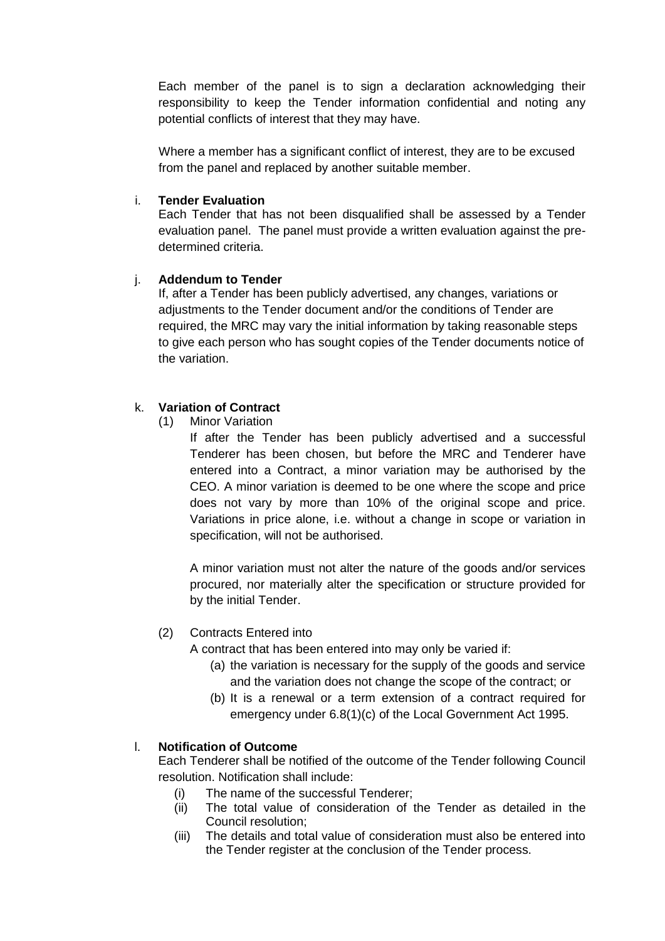Each member of the panel is to sign a declaration acknowledging their responsibility to keep the Tender information confidential and noting any potential conflicts of interest that they may have.

Where a member has a significant conflict of interest, they are to be excused from the panel and replaced by another suitable member.

### i. **Tender Evaluation**

Each Tender that has not been disqualified shall be assessed by a Tender evaluation panel. The panel must provide a written evaluation against the predetermined criteria.

## j. **Addendum to Tender**

If, after a Tender has been publicly advertised, any changes, variations or adjustments to the Tender document and/or the conditions of Tender are required, the MRC may vary the initial information by taking reasonable steps to give each person who has sought copies of the Tender documents notice of the variation.

# k. **Variation of Contract**

(1) Minor Variation

If after the Tender has been publicly advertised and a successful Tenderer has been chosen, but before the MRC and Tenderer have entered into a Contract, a minor variation may be authorised by the CEO. A minor variation is deemed to be one where the scope and price does not vary by more than 10% of the original scope and price. Variations in price alone, i.e. without a change in scope or variation in specification, will not be authorised.

A minor variation must not alter the nature of the goods and/or services procured, nor materially alter the specification or structure provided for by the initial Tender.

# (2) Contracts Entered into

A contract that has been entered into may only be varied if:

- (a) the variation is necessary for the supply of the goods and service and the variation does not change the scope of the contract; or
- (b) It is a renewal or a term extension of a contract required for emergency under 6.8(1)(c) of the Local Government Act 1995.

# l. **Notification of Outcome**

Each Tenderer shall be notified of the outcome of the Tender following Council resolution. Notification shall include:

- (i) The name of the successful Tenderer;
- (ii) The total value of consideration of the Tender as detailed in the Council resolution;
- (iii) The details and total value of consideration must also be entered into the Tender register at the conclusion of the Tender process.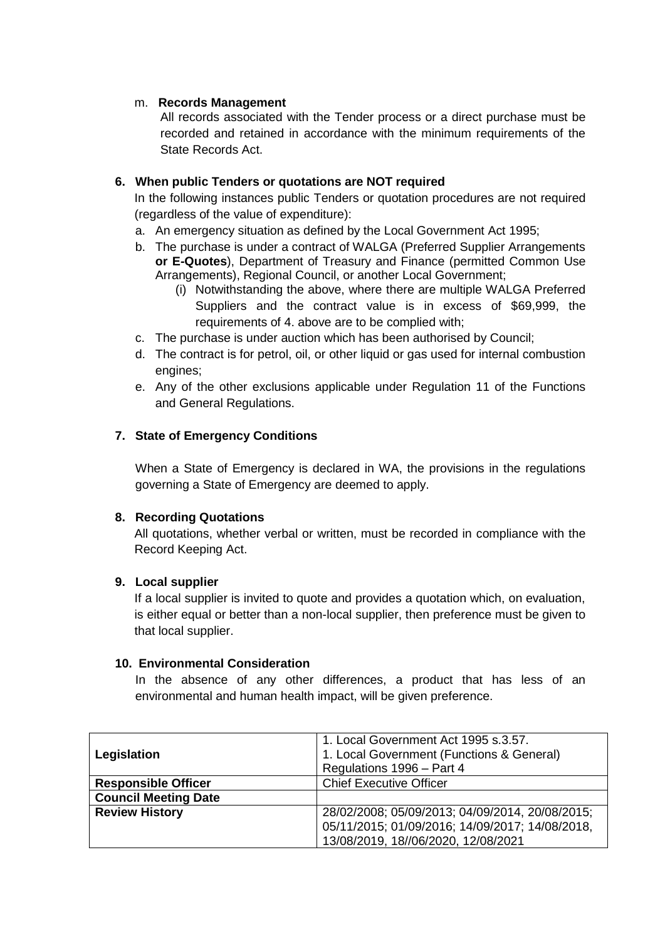## m. **Records Management**

All records associated with the Tender process or a direct purchase must be recorded and retained in accordance with the minimum requirements of the State Records Act.

## **6. When public Tenders or quotations are NOT required**

In the following instances public Tenders or quotation procedures are not required (regardless of the value of expenditure):

- a. An emergency situation as defined by the Local Government Act 1995;
- b. The purchase is under a contract of WALGA (Preferred Supplier Arrangements **or E-Quotes**), Department of Treasury and Finance (permitted Common Use Arrangements), Regional Council, or another Local Government;
	- (i) Notwithstanding the above, where there are multiple WALGA Preferred Suppliers and the contract value is in excess of \$69,999, the requirements of 4. above are to be complied with;
- c. The purchase is under auction which has been authorised by Council;
- d. The contract is for petrol, oil, or other liquid or gas used for internal combustion engines;
- e. Any of the other exclusions applicable under Regulation 11 of the Functions and General Regulations.

## **7. State of Emergency Conditions**

When a State of Emergency is declared in WA, the provisions in the regulations governing a State of Emergency are deemed to apply.

#### **8. Recording Quotations**

All quotations, whether verbal or written, must be recorded in compliance with the Record Keeping Act.

#### **9. Local supplier**

If a local supplier is invited to quote and provides a quotation which, on evaluation, is either equal or better than a non-local supplier, then preference must be given to that local supplier.

#### **10. Environmental Consideration**

In the absence of any other differences, a product that has less of an environmental and human health impact, will be given preference.

| Legislation                 | 1. Local Government Act 1995 s.3.57.<br>1. Local Government (Functions & General)<br>Regulations 1996 - Part 4 |
|-----------------------------|----------------------------------------------------------------------------------------------------------------|
| <b>Responsible Officer</b>  | <b>Chief Executive Officer</b>                                                                                 |
| <b>Council Meeting Date</b> |                                                                                                                |
| <b>Review History</b>       | 28/02/2008; 05/09/2013; 04/09/2014, 20/08/2015;<br>05/11/2015; 01/09/2016; 14/09/2017; 14/08/2018.             |
|                             | 13/08/2019, 18//06/2020, 12/08/2021                                                                            |